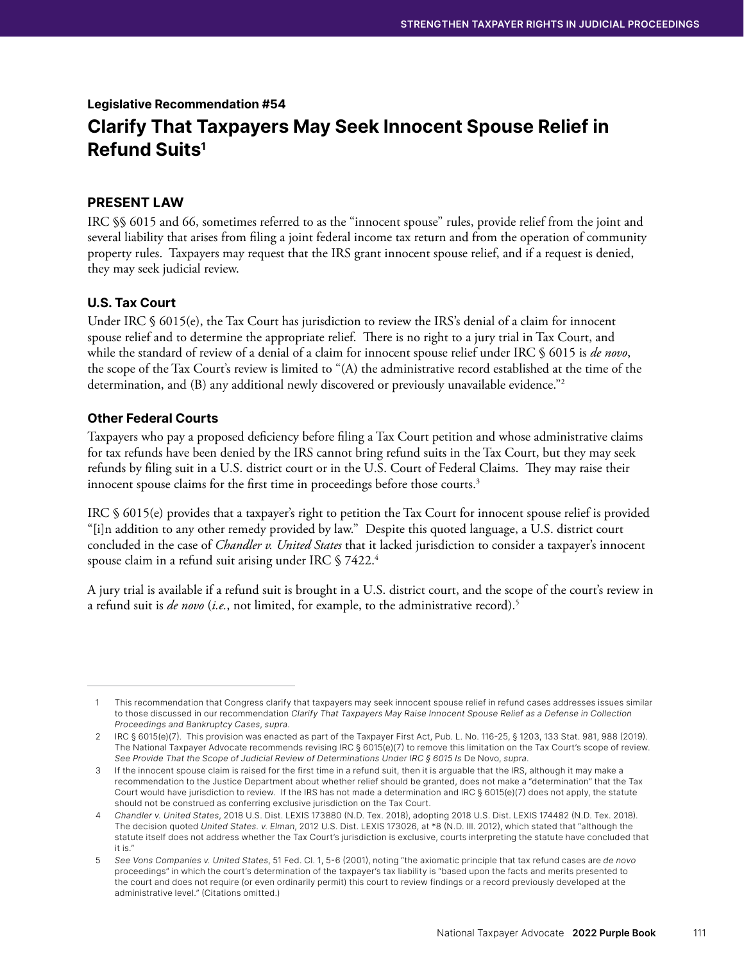Legislative Recommendation #54 Clarify That Taxpayers May Seek Innocent Spouse Relief in Refund Suits<sup>1</sup>

# PRESENT LAW

IRC §§ 6015 and 66, sometimes referred to as the "innocent spouse" rules, provide relief from the joint and several liability that arises from filing a joint federal income tax return and from the operation of community property rules. Taxpayers may request that the IRS grant innocent spouse relief, and if a request is denied, they may seek judicial review.

## U.S. Tax Court

Under IRC § 6015(e), the Tax Court has jurisdiction to review the IRS's denial of a claim for innocent spouse relief and to determine the appropriate relief. There is no right to a jury trial in Tax Court, and while the standard of review of a denial of a claim for innocent spouse relief under IRC § 6015 is *de novo*, the scope of the Tax Court's review is limited to "(A) the administrative record established at the time of the determination, and (B) any additional newly discovered or previously unavailable evidence."2

#### Other Federal Courts

Taxpayers who pay a proposed deficiency before filing a Tax Court petition and whose administrative claims for tax refunds have been denied by the IRS cannot bring refund suits in the Tax Court, but they may seek refunds by filing suit in a U.S. district court or in the U.S. Court of Federal Claims. They may raise their innocent spouse claims for the first time in proceedings before those courts.<sup>3</sup>

IRC § 6015(e) provides that a taxpayer's right to petition the Tax Court for innocent spouse relief is provided "[i]n addition to any other remedy provided by law." Despite this quoted language, a U.S. district court concluded in the case of *Chandler v. United States* that it lacked jurisdiction to consider a taxpayer's innocent spouse claim in a refund suit arising under IRC § 7422.4

A jury trial is available if a refund suit is brought in a U.S. district court, and the scope of the court's review in a refund suit is *de novo* (*i.e.*, not limited, for example, to the administrative record).5

<sup>1</sup> This recommendation that Congress clarify that taxpayers may seek innocent spouse relief in refund cases addresses issues similar to those discussed in our recommendation Clarify That Taxpayers May Raise Innocent Spouse Relief as a Defense in Collection Proceedings and Bankruptcy Cases, supra.

<sup>2</sup> IRC § 6015(e)(7). This provision was enacted as part of the Taxpayer First Act, Pub. L. No. 116-25, § 1203, 133 Stat. 981, 988 (2019). The National Taxpayer Advocate recommends revising IRC § 6015(e)(7) to remove this limitation on the Tax Court's scope of review. See Provide That the Scope of Judicial Review of Determinations Under IRC § 6015 Is De Novo, supra.

<sup>3</sup> If the innocent spouse claim is raised for the first time in a refund suit, then it is arguable that the IRS, although it may make a recommendation to the Justice Department about whether relief should be granted, does not make a "determination" that the Tax Court would have jurisdiction to review. If the IRS has not made a determination and IRC § 6015(e)(7) does not apply, the statute should not be construed as conferring exclusive jurisdiction on the Tax Court.

<sup>4</sup>  Chandler v. United States, 2018 U.S. Dist. LEXIS 173880 (N.D. Tex. 2018), adopting 2018 U.S. Dist. LEXIS 174482 (N.D. Tex. 2018). The decision quoted United States. v. Elman, 2012 U.S. Dist. LEXIS 173026, at \*8 (N.D. Ill. 2012), which stated that "although the statute itself does not address whether the Tax Court's jurisdiction is exclusive, courts interpreting the statute have concluded that it is."

<sup>5</sup>  See Vons Companies v. United States, 51 Fed. Cl. 1, 5-6 (2001), noting "the axiomatic principle that tax refund cases are de novo proceedings" in which the court's determination of the taxpayer's tax liability is "based upon the facts and merits presented to the court and does not require (or even ordinarily permit) this court to review findings or a record previously developed at the administrative level." (Citations omitted.)